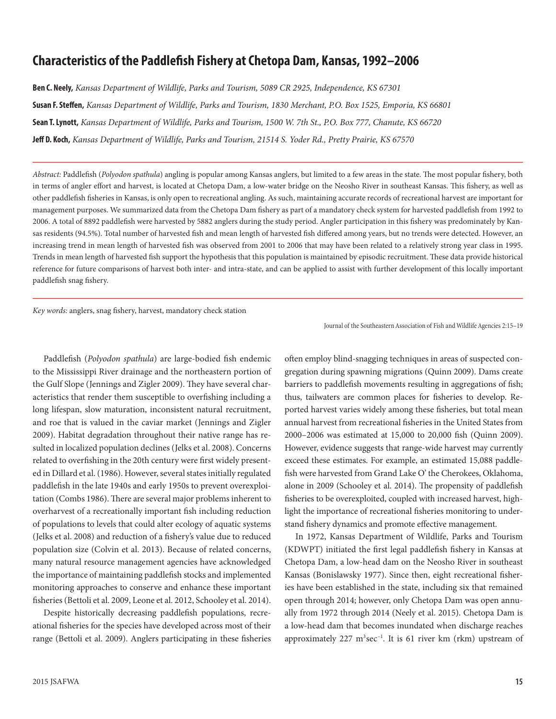# **Characteristics of the Paddlefish Fishery at Chetopa Dam, Kansas, 1992–2006**

**Ben C. Neely,** *Kansas Department of Wildlife, Parks and Tourism, 5089 CR 2925, Independence, KS 67301* **Susan F. Steffen,** *Kansas Department of Wildlife, Parks and Tourism, 1830 Merchant, P.O. Box 1525, Emporia, KS 66801* **Sean T. Lynott,** *Kansas Department of Wildlife, Parks and Tourism, 1500 W. 7th St., P.O. Box 777, Chanute, KS 66720* **Jeff D. Koch,** *Kansas Department of Wildlife, Parks and Tourism, 21514 S. Yoder Rd., Pretty Prairie, KS 67570*

*Abstract:* Paddlefish (*Polyodon spathula*) angling is popular among Kansas anglers, but limited to a few areas in the state. The most popular fishery, both in terms of angler effort and harvest, is located at Chetopa Dam, a low-water bridge on the Neosho River in southeast Kansas. This fishery, as well as other paddlefish fisheries in Kansas, is only open to recreational angling. As such, maintaining accurate records of recreational harvest are important for management purposes. We summarized data from the Chetopa Dam fishery as part of a mandatory check system for harvested paddlefish from 1992 to 2006. A total of 8892 paddlefish were harvested by 5882 anglers during the study period. Angler participation in this fishery was predominately by Kansas residents (94.5%). Total number of harvested fish and mean length of harvested fish differed among years, but no trends were detected. However, an increasing trend in mean length of harvested fish was observed from 2001 to 2006 that may have been related to a relatively strong year class in 1995. Trends in mean length of harvested fish support the hypothesis that this population is maintained by episodic recruitment. These data provide historical reference for future comparisons of harvest both inter- and intra-state, and can be applied to assist with further development of this locally important paddlefish snag fishery.

*Key words:* anglers, snag fishery, harvest, mandatory check station

Paddlefish (*Polyodon spathula*) are large-bodied fish endemic to the Mississippi River drainage and the northeastern portion of the Gulf Slope (Jennings and Zigler 2009). They have several characteristics that render them susceptible to overfishing including a long lifespan, slow maturation, inconsistent natural recruitment, and roe that is valued in the caviar market (Jennings and Zigler 2009). Habitat degradation throughout their native range has resulted in localized population declines (Jelks et al. 2008). Concerns related to overfishing in the 20th century were first widely presented in Dillard et al. (1986). However, several states initially regulated paddlefish in the late 1940s and early 1950s to prevent overexploitation (Combs 1986). There are several major problems inherent to overharvest of a recreationally important fish including reduction of populations to levels that could alter ecology of aquatic systems (Jelks et al. 2008) and reduction of a fishery's value due to reduced population size (Colvin et al. 2013). Because of related concerns, many natural resource management agencies have acknowledged the importance of maintaining paddlefish stocks and implemented monitoring approaches to conserve and enhance these important fisheries (Bettoli et al. 2009, Leone et al. 2012, Schooley et al. 2014).

Despite historically decreasing paddlefish populations, recreational fisheries for the species have developed across most of their range (Bettoli et al. 2009). Anglers participating in these fisheries Journal of the Southeastern Association of Fish and Wildlife Agencies 2:15–19

often employ blind-snagging techniques in areas of suspected congregation during spawning migrations (Quinn 2009). Dams create barriers to paddlefish movements resulting in aggregations of fish; thus, tailwaters are common places for fisheries to develop. Reported harvest varies widely among these fisheries, but total mean annual harvest from recreational fisheries in the United States from 2000–2006 was estimated at 15,000 to 20,000 fish (Quinn 2009). However, evidence suggests that range-wide harvest may currently exceed these estimates. For example, an estimated 15,088 paddlefish were harvested from Grand Lake O' the Cherokees, Oklahoma, alone in 2009 (Schooley et al. 2014). The propensity of paddlefish fisheries to be overexploited, coupled with increased harvest, highlight the importance of recreational fisheries monitoring to understand fishery dynamics and promote effective management.

In 1972, Kansas Department of Wildlife, Parks and Tourism (KDWPT) initiated the first legal paddlefish fishery in Kansas at Chetopa Dam, a low-head dam on the Neosho River in southeast Kansas (Bonislawsky 1977). Since then, eight recreational fisheries have been established in the state, including six that remained open through 2014; however, only Chetopa Dam was open annually from 1972 through 2014 (Neely et al. 2015). Chetopa Dam is a low-head dam that becomes inundated when discharge reaches approximately 227 m<sup>3</sup>sec<sup>-1</sup>. It is 61 river km (rkm) upstream of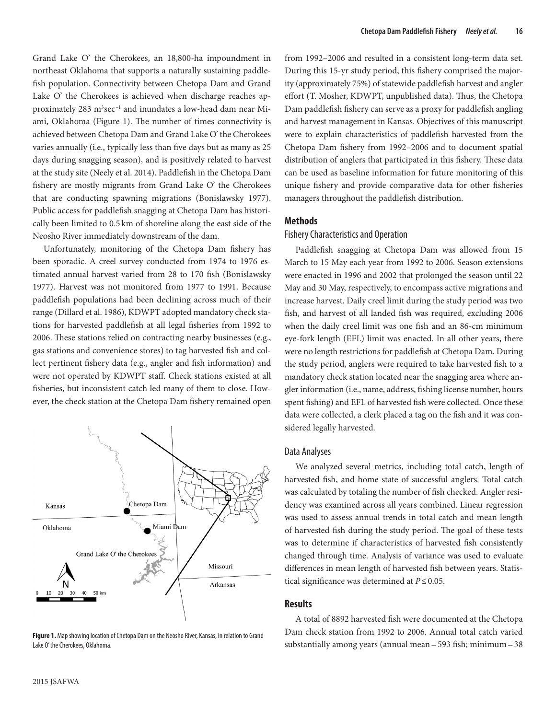Grand Lake O' the Cherokees, an 18,800-ha impoundment in northeast Oklahoma that supports a naturally sustaining paddlefish population. Connectivity between Chetopa Dam and Grand Lake O' the Cherokees is achieved when discharge reaches approximately 283 m<sup>3</sup>sec<sup>-1</sup> and inundates a low-head dam near Miami, Oklahoma (Figure 1). The number of times connectivity is achieved between Chetopa Dam and Grand Lake O' the Cherokees varies annually (i.e., typically less than five days but as many as 25 days during snagging season), and is positively related to harvest at the study site (Neely et al. 2014). Paddlefish in the Chetopa Dam fishery are mostly migrants from Grand Lake O' the Cherokees that are conducting spawning migrations (Bonislawsky 1977). Public access for paddlefish snagging at Chetopa Dam has historically been limited to 0.5 km of shoreline along the east side of the Neosho River immediately downstream of the dam.

Unfortunately, monitoring of the Chetopa Dam fishery has been sporadic. A creel survey conducted from 1974 to 1976 estimated annual harvest varied from 28 to 170 fish (Bonislawsky 1977). Harvest was not monitored from 1977 to 1991. Because paddlefish populations had been declining across much of their range (Dillard et al. 1986), KDWPT adopted mandatory check stations for harvested paddlefish at all legal fisheries from 1992 to 2006. These stations relied on contracting nearby businesses (e.g., gas stations and convenience stores) to tag harvested fish and collect pertinent fishery data (e.g., angler and fish information) and were not operated by KDWPT staff. Check stations existed at all fisheries, but inconsistent catch led many of them to close. However, the check station at the Chetopa Dam fishery remained open



**Figure 1.** Map showing location of Chetopa Dam on the Neosho River, Kansas, in relation to Grand Lake O' the Cherokees, Oklahoma.

from 1992–2006 and resulted in a consistent long-term data set. During this 15-yr study period, this fishery comprised the majority (approximately 75%) of statewide paddlefish harvest and angler effort (T. Mosher, KDWPT, unpublished data). Thus, the Chetopa Dam paddlefish fishery can serve as a proxy for paddlefish angling and harvest management in Kansas. Objectives of this manuscript were to explain characteristics of paddlefish harvested from the Chetopa Dam fishery from 1992–2006 and to document spatial distribution of anglers that participated in this fishery. These data can be used as baseline information for future monitoring of this unique fishery and provide comparative data for other fisheries managers throughout the paddlefish distribution.

# **Methods**

# Fishery Characteristics and Operation

Paddlefish snagging at Chetopa Dam was allowed from 15 March to 15 May each year from 1992 to 2006. Season extensions were enacted in 1996 and 2002 that prolonged the season until 22 May and 30 May, respectively, to encompass active migrations and increase harvest. Daily creel limit during the study period was two fish, and harvest of all landed fish was required, excluding 2006 when the daily creel limit was one fish and an 86-cm minimum eye-fork length (EFL) limit was enacted. In all other years, there were no length restrictions for paddlefish at Chetopa Dam. During the study period, anglers were required to take harvested fish to a mandatory check station located near the snagging area where angler information (i.e., name, address, fishing license number, hours spent fishing) and EFL of harvested fish were collected. Once these data were collected, a clerk placed a tag on the fish and it was considered legally harvested.

#### Data Analyses

We analyzed several metrics, including total catch, length of harvested fish, and home state of successful anglers. Total catch was calculated by totaling the number of fish checked. Angler residency was examined across all years combined. Linear regression was used to assess annual trends in total catch and mean length of harvested fish during the study period. The goal of these tests was to determine if characteristics of harvested fish consistently changed through time. Analysis of variance was used to evaluate differences in mean length of harvested fish between years. Statistical significance was determined at *P*≤0.05.

## **Results**

A total of 8892 harvested fish were documented at the Chetopa Dam check station from 1992 to 2006. Annual total catch varied substantially among years (annual mean=593 fish; minimum=38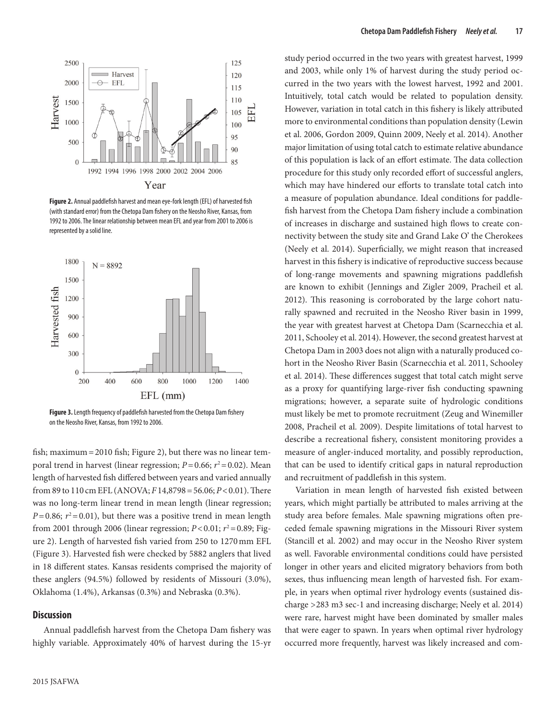

**Figure 2.** Annual paddlefish harvest and mean eye-fork length (EFL) of harvested fish (with standard error) from the Chetopa Dam fishery on the Neosho River, Kansas, from 1992 to 2006. The linear relationship between mean EFL and year from 2001 to 2006 is represented by a solid line.



**Figure 3.** Length frequency of paddlefish harvested from the Chetopa Dam fishery on the Neosho River, Kansas, from 1992 to 2006.

fish; maximum=2010 fish; Figure 2), but there was no linear temporal trend in harvest (linear regression;  $P=0.66$ ;  $r^2=0.02$ ). Mean length of harvested fish differed between years and varied annually from 89 to 110 cm EFL (ANOVA; *F* 14,8798=56.06; *P*<0.01). There was no long-term linear trend in mean length (linear regression;  $P=0.86$ ;  $r^2=0.01$ ), but there was a positive trend in mean length from 2001 through 2006 (linear regression;  $P < 0.01$ ;  $r^2 = 0.89$ ; Figure 2). Length of harvested fish varied from 250 to 1270mm EFL (Figure 3). Harvested fish were checked by 5882 anglers that lived in 18 different states. Kansas residents comprised the majority of these anglers (94.5%) followed by residents of Missouri (3.0%), Oklahoma (1.4%), Arkansas (0.3%) and Nebraska (0.3%).

#### **Discussion**

Annual paddlefish harvest from the Chetopa Dam fishery was highly variable. Approximately 40% of harvest during the 15-yr study period occurred in the two years with greatest harvest, 1999 and 2003, while only 1% of harvest during the study period occurred in the two years with the lowest harvest, 1992 and 2001. Intuitively, total catch would be related to population density. However, variation in total catch in this fishery is likely attributed more to environmental conditions than population density (Lewin et al. 2006, Gordon 2009, Quinn 2009, Neely et al. 2014). Another major limitation of using total catch to estimate relative abundance of this population is lack of an effort estimate. The data collection procedure for this study only recorded effort of successful anglers, which may have hindered our efforts to translate total catch into a measure of population abundance. Ideal conditions for paddlefish harvest from the Chetopa Dam fishery include a combination of increases in discharge and sustained high flows to create connectivity between the study site and Grand Lake O' the Cherokees (Neely et al. 2014). Superficially, we might reason that increased harvest in this fishery is indicative of reproductive success because of long-range movements and spawning migrations paddlefish are known to exhibit (Jennings and Zigler 2009, Pracheil et al. 2012). This reasoning is corroborated by the large cohort naturally spawned and recruited in the Neosho River basin in 1999, the year with greatest harvest at Chetopa Dam (Scarnecchia et al. 2011, Schooley et al. 2014). However, the second greatest harvest at Chetopa Dam in 2003 does not align with a naturally produced cohort in the Neosho River Basin (Scarnecchia et al. 2011, Schooley et al. 2014). These differences suggest that total catch might serve as a proxy for quantifying large-river fish conducting spawning migrations; however, a separate suite of hydrologic conditions must likely be met to promote recruitment (Zeug and Winemiller 2008, Pracheil et al. 2009). Despite limitations of total harvest to describe a recreational fishery, consistent monitoring provides a measure of angler-induced mortality, and possibly reproduction, that can be used to identify critical gaps in natural reproduction and recruitment of paddlefish in this system.

Variation in mean length of harvested fish existed between years, which might partially be attributed to males arriving at the study area before females. Male spawning migrations often preceded female spawning migrations in the Missouri River system (Stancill et al. 2002) and may occur in the Neosho River system as well. Favorable environmental conditions could have persisted longer in other years and elicited migratory behaviors from both sexes, thus influencing mean length of harvested fish. For example, in years when optimal river hydrology events (sustained discharge >283 m3 sec-1 and increasing discharge; Neely et al. 2014) were rare, harvest might have been dominated by smaller males that were eager to spawn. In years when optimal river hydrology occurred more frequently, harvest was likely increased and com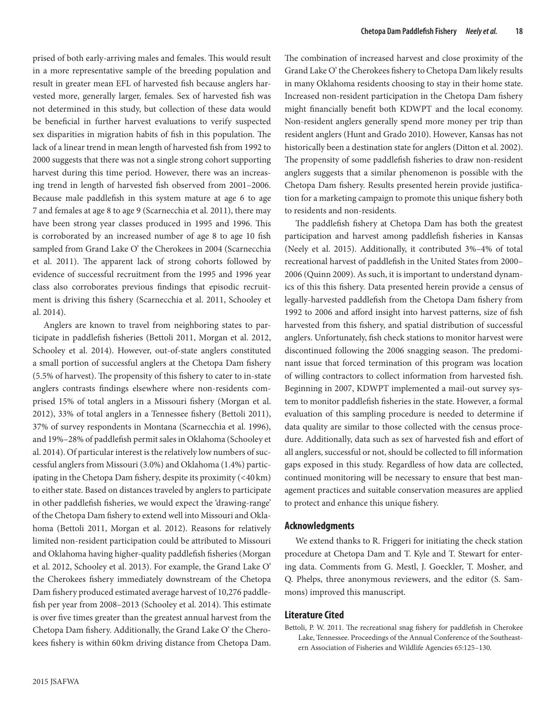prised of both early-arriving males and females. This would result in a more representative sample of the breeding population and result in greater mean EFL of harvested fish because anglers harvested more, generally larger, females. Sex of harvested fish was not determined in this study, but collection of these data would be beneficial in further harvest evaluations to verify suspected sex disparities in migration habits of fish in this population. The lack of a linear trend in mean length of harvested fish from 1992 to 2000 suggests that there was not a single strong cohort supporting harvest during this time period. However, there was an increasing trend in length of harvested fish observed from 2001–2006. Because male paddlefish in this system mature at age 6 to age 7 and females at age 8 to age 9 (Scarnecchia et al. 2011), there may have been strong year classes produced in 1995 and 1996. This is corroborated by an increased number of age 8 to age 10 fish sampled from Grand Lake O' the Cherokees in 2004 (Scarnecchia et al. 2011). The apparent lack of strong cohorts followed by evidence of successful recruitment from the 1995 and 1996 year class also corroborates previous findings that episodic recruitment is driving this fishery (Scarnecchia et al. 2011, Schooley et al. 2014).

Anglers are known to travel from neighboring states to participate in paddlefish fisheries (Bettoli 2011, Morgan et al. 2012, Schooley et al. 2014). However, out-of-state anglers constituted a small portion of successful anglers at the Chetopa Dam fishery (5.5% of harvest). The propensity of this fishery to cater to in-state anglers contrasts findings elsewhere where non-residents comprised 15% of total anglers in a Missouri fishery (Morgan et al. 2012), 33% of total anglers in a Tennessee fishery (Bettoli 2011), 37% of survey respondents in Montana (Scarnecchia et al. 1996), and 19%–28% of paddlefish permit sales in Oklahoma (Schooley et al. 2014). Of particular interest is the relatively low numbers of successful anglers from Missouri (3.0%) and Oklahoma (1.4%) participating in the Chetopa Dam fishery, despite its proximity (<40 km) to either state. Based on distances traveled by anglers to participate in other paddlefish fisheries, we would expect the 'drawing-range' of the Chetopa Dam fishery to extend well into Missouri and Oklahoma (Bettoli 2011, Morgan et al. 2012). Reasons for relatively limited non-resident participation could be attributed to Missouri and Oklahoma having higher-quality paddlefish fisheries (Morgan et al. 2012, Schooley et al. 2013). For example, the Grand Lake O' the Cherokees fishery immediately downstream of the Chetopa Dam fishery produced estimated average harvest of 10,276 paddlefish per year from 2008–2013 (Schooley et al. 2014). This estimate is over five times greater than the greatest annual harvest from the Chetopa Dam fishery. Additionally, the Grand Lake O' the Cherokees fishery is within 60km driving distance from Chetopa Dam.

The combination of increased harvest and close proximity of the Grand Lake O' the Cherokees fishery to Chetopa Dam likely results in many Oklahoma residents choosing to stay in their home state. Increased non-resident participation in the Chetopa Dam fishery might financially benefit both KDWPT and the local economy. Non-resident anglers generally spend more money per trip than resident anglers (Hunt and Grado 2010). However, Kansas has not historically been a destination state for anglers (Ditton et al. 2002). The propensity of some paddlefish fisheries to draw non-resident anglers suggests that a similar phenomenon is possible with the Chetopa Dam fishery. Results presented herein provide justification for a marketing campaign to promote this unique fishery both to residents and non-residents.

The paddlefish fishery at Chetopa Dam has both the greatest participation and harvest among paddlefish fisheries in Kansas (Neely et al. 2015). Additionally, it contributed 3%–4% of total recreational harvest of paddlefish in the United States from 2000– 2006 (Quinn 2009). As such, it is important to understand dynamics of this this fishery. Data presented herein provide a census of legally-harvested paddlefish from the Chetopa Dam fishery from 1992 to 2006 and afford insight into harvest patterns, size of fish harvested from this fishery, and spatial distribution of successful anglers. Unfortunately, fish check stations to monitor harvest were discontinued following the 2006 snagging season. The predominant issue that forced termination of this program was location of willing contractors to collect information from harvested fish. Beginning in 2007, KDWPT implemented a mail-out survey system to monitor paddlefish fisheries in the state. However, a formal evaluation of this sampling procedure is needed to determine if data quality are similar to those collected with the census procedure. Additionally, data such as sex of harvested fish and effort of all anglers, successful or not, should be collected to fill information gaps exposed in this study. Regardless of how data are collected, continued monitoring will be necessary to ensure that best management practices and suitable conservation measures are applied to protect and enhance this unique fishery.

#### **Acknowledgments**

We extend thanks to R. Friggeri for initiating the check station procedure at Chetopa Dam and T. Kyle and T. Stewart for entering data. Comments from G. Mestl, J. Goeckler, T. Mosher, and Q. Phelps, three anonymous reviewers, and the editor (S. Sammons) improved this manuscript.

## **Literature Cited**

Bettoli, P. W. 2011. The recreational snag fishery for paddlefish in Cherokee Lake, Tennessee. Proceedings of the Annual Conference of the Southeastern Association of Fisheries and Wildlife Agencies 65:125–130.